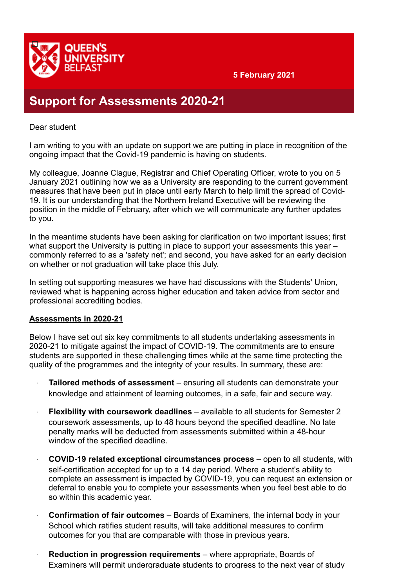

## **Support for Assessments 2020-21**

## Dear student

I am writing to you with an update on support we are putting in place in recognition of the ongoing impact that the Covid-19 pandemic is having on students.

My colleague, Joanne Clague, Registrar and Chief Operating Officer, wrote to you on 5 January 2021 outlining how we as a University are responding to the current government measures that have been put in place until early March to help limit the spread of Covid-19. It is our understanding that the Northern Ireland Executive will be reviewing the position in the middle of February, after which we will communicate any further updates to you.

In the meantime students have been asking for clarification on two important issues; first what support the University is putting in place to support your assessments this year – commonly referred to as a 'safety net'; and second, you have asked for an early decision on whether or not graduation will take place this July.

In setting out supporting measures we have had discussions with the Students' Union, reviewed what is happening across higher education and taken advice from sector and professional accrediting bodies.

## **Assessments in 2020-21**

Below I have set out six key commitments to all students undertaking assessments in 2020-21 to mitigate against the impact of COVID-19. The commitments are to ensure students are supported in these challenging times while at the same time protecting the quality of the programmes and the integrity of your results. In summary, these are:

- **Tailored methods of assessment** ensuring all students can demonstrate your knowledge and attainment of learning outcomes, in a safe, fair and secure way.
- · **Flexibility with coursework deadlines** available to all students for Semester 2 coursework assessments, up to 48 hours beyond the specified deadline. No late penalty marks will be deducted from assessments submitted within a 48-hour window of the specified deadline.
- · **COVID-19 related exceptional circumstances process** open to all students, with self-certification accepted for up to a 14 day period. Where a student's ability to complete an assessment is impacted by COVID-19, you can request an extension or deferral to enable you to complete your assessments when you feel best able to do so within this academic year.
- · **Confirmation of fair outcomes** Boards of Examiners, the internal body in your School which ratifies student results, will take additional measures to confirm outcomes for you that are comparable with those in previous years.
- · **Reduction in progression requirements** where appropriate, Boards of Examiners will permit undergraduate students to progress to the next year of study